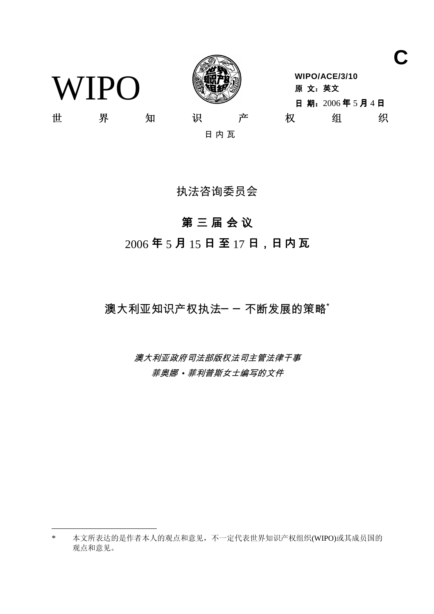**C**





**WIPO/ACE/3/10** 原 文: 英文 日期: 2006年5月4日 世 界 知 识 产 权 组 织

日内瓦

执法咨询委员会

# 第三届会议

 $2006$ 年5月15日至17日,日内瓦

澳大利亚知识产权执法-- 不断发展的策略\*

澳大利亚政府司法部版权法司主管法律干事 菲奥娜 · 菲利普斯女士编写的文件

<sup>\*</sup> 本文所表达的是作者本人的观点和意见,不一定代表世界知识产权组织(WIPO)或其成员国的 观点和意见。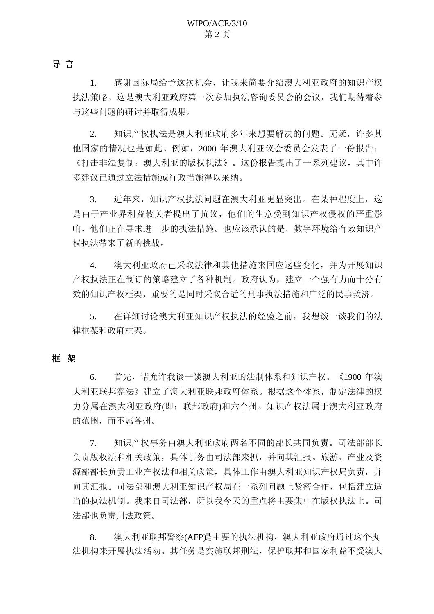导言

1. 感谢国际局给予这次机会,让我来简要介绍澳大利亚政府的知识产权 执法策略。这是澳大利亚政府第一次参加执法咨询委员会的会议,我们期待着参 与这些问题的研讨并取得成果。

2. 知识产权执法是澳大利亚政府多年来想要解决的问题。无疑,许多其 他国家的情况也是如此。例如,2000 年澳大利亚议会委员会发表了一份报告: 《打击非法复制: 澳大利亚的版权执法》。这份报告提出了一系列建议, 其中许 多建议已通过立法措施或行政措施得以采纳。

3. 近年来, 知识产权执法问题在澳大利亚更显突出。在某种程度上, 这 是由于产业界利益攸关者提出了抗议,他们的生意受到知识产权侵权的严重影 响, 他们正在寻求讲一步的执法措施。也应该承认的是, 数字环境给有效知识产 权执法带来了新的挑战。

4. 澳大利亚政府已采取法律和其他措施来回应这些变化,并为开展知识 产权执法正在制订的策略建立了各种机制。政府认为,建立一个强有力而十分有 效的知识产权框架,重要的是同时采取合适的刑事执法措施和广泛的民事救济。

5. 在详细讨论澳大利亚知识产权执法的经验之前,我想成一谈我们的法 律框架和政府框架。

框 架

6. 首先, 请允许我谈一谈澳大利亚的法制体系和知识产权。《1900 年澳 大利亚联邦宪法》建立了澳大利亚联邦政府体系。根据这个体系,制定法律的权 力分属在澳大利亚政府(即: 联邦政府)和六个州。知识产权法属于澳大利亚政府 的范围, 而不属各州。

7. 知识产权事务由澳大利亚政府两名不同的部长共同负责。司法部部长 负责版权法和相关政策, 具体事务由司法部来抓, 并向其汇报。旅游、产业及资 源部部长负责工业产权法和相关政策, 具体工作由澳大利亚知识产权局负责, 并 向其汇报。司法部和澳大利亚知识产权局在一系列问题上紧密合作, 包括建立适 当的执法机制。我来自司法部,所以我今天的重点将主要集中在版权执法上。司 法部也负责刑法政策。

8. 澳大利亚联邦警察(AFP是主要的执法机构,澳大利亚政府通过这个执 法机构来开展执法活动。其任务是实施联邦刑法, 保护联邦和国家利益不受澳大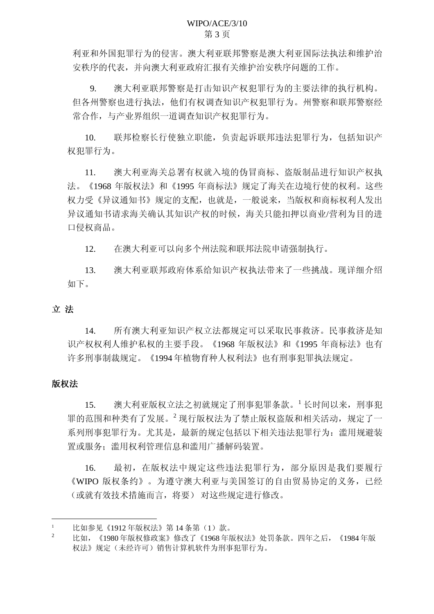利亚和外国犯罪行为的侵害。澳大利亚联邦警察是澳大利亚国际法执法和维护治 安秩序的代表,并向澳大利亚政府汇报有关维护治安秩序问题的工作。

9. 澳大利亚联邦警察是打击知识产权犯罪行为的主要法律的执行机构。 但各州警察也进行执法, 他们有权调查知识产权犯罪行为。州警察和联邦警察经 常合作, 与产业界组织一道调查知识产权犯罪行为。

10. 联邦检察长行使独立职能, 负责起诉联邦违法犯罪行为, 包括知识产 权犯罪行为。

11. 澳大利亚海关总署有权就入境的伪冒商标、盗版制品进行知识产权执 法。《1968 年版权法》和《1995 年商标法》规定了海关在边境行使的权利。这些 权力受《异议通知书》规定的支配, 也就是, 一般说来, 当版权和商标权利人发出 异议通知书请求海关确认其知识产权的时候, 海关只能扣押以商业/营利为目的进 口侵权商品。

12. 在澳大利亚可以向多个州法院和联邦法院申请强制执行。

13. 澳大利亚联邦政府体系给知识产权执法带来了一些挑战。现详细介绍 如下。

# ☆ 法

14. 所有澳大利亚知识产权立法都规定可以采取民事救济。民事救济是知 识产权权利人维护私权的主要手段。《1968 年版权法》和《1995 年商标法》也有 许多刑事制裁规定。《1994 年植物育种人权利法》也有刑事犯罪执法规定。

# 版权法

 $15.$  澳大利亚版权立法之初就规定了刑事犯罪条款。<sup>1</sup>长时间以来,刑事犯 罪的范围和种类有了发展。<sup>2</sup> 现行版权法为了禁止版权盗版和相关活动, 规定了一 系列刑事犯罪行为。尤其是,最新的规定包括以下相关违法犯罪行为: 滥用规避装 置或服务: 滥用权利管理信息和滥用广播解码装置。

16. 最初, 在版权法中规定这些违法犯罪行为, 部分原因是我们要履行 《WIPO 版权条约》。为遵守澳大利亚与美国签订的自由贸易协定的义务,已经 (或就有效技术措施而言, 将要) 对这些规定进行修改。

<sup>&</sup>lt;sup>1</sup> 比如参见《1912年版权法》第14条第(1)款。

比如, 《1980年版权修政案》修改了《1968年版权法》处罚条款。四年之后, 《1984年版 权法》规定(未经许可)销售计算机软件为刑事犯罪行为。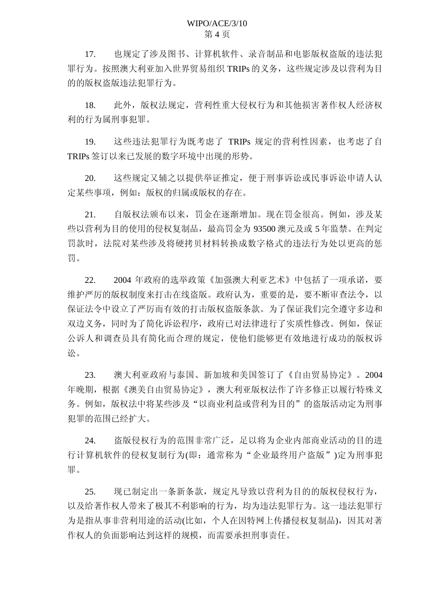17. 也规定了涉及图书、计算机软件、录音制品和电影版权盗版的违法犯 罪行为。按照澳大利亚加入世界贸易组织 TRIPs 的义务, 这些规定涉及以营利为目 的的版权盗版违法犯罪行为。

18. 此外,版权法规定,营利性重大侵权行为和其他损害著作权人经济权 利的行为属刑事犯罪。

19. 这些违法犯罪行为既考虑了 TRIPs 规定的营利性因素, 也考虑了自 TRIPs 签订以来已发展的数字环境中出现的形势。

20. 这些规定又辅之以提供举证推定, 便于刑事诉讼或民事诉讼申请人认 定某些事项, 例如: 版权的归属或版权的存在。

 $21.$  自版权法颁布以来,罚金在逐渐增加。现在罚金很高。例如,涉及某 些以营利为目的使用的侵权复制品, 最高罚金为 93500 澳元及或 5 年监禁。在判定 罚款时, 法院对某些涉及将硬拷贝材料转换成数字格式的违法行为处以更高的惩 罚。

22. 2004 年政府的选举政策《加强澳大利亚艺术》中包括了一项承诺,要 维护严厉的版权制度来打击在线盗版。政府认为, 重要的是, 要不断审查法令, 以 保证法令中设立了严厉而有效的打击版权盗版条款。为了保证我们完全遵守多边和 双边义务,同时为了简化诉讼程序,政府已对法律进行了实质性修改。例如,保证 公诉人和调查员具有简化而合理的规定, 使他们能够更有效地进行成功的版权诉 讼。

23. 澳大利亚政府与泰国、新加坡和美国签订了《自由贸易协定》。2004 年晚期, 根据《澳美自由贸易协定》, 澳大利亚版权法作了许多修正以履行特殊义 务。例如, 版权法中将某些涉及"以商业利益或营利为目的"的盗版活动定为刑事 犯罪的范围已经扩大。

24. 盗版侵权行为的范围非常广泛, 足以将为企业内部商业活动的目的进 行计算机软件的侵权复制行为(即: 通常称为"企业最终用户盗版")定为刑事犯 罪。

25. 现已制定出一条新条款, 规定凡导致以营利为目的的版权侵权行为, 以及给著作权人带来了极其不利影响的行为,均为违法犯罪行为。这一违法犯罪行 为是指从事非营利用途的活动(比如,个人在因特网上传播侵权复制品),因其对著 作权人的负面影响达到这样的规模,而需要承担刑事责任。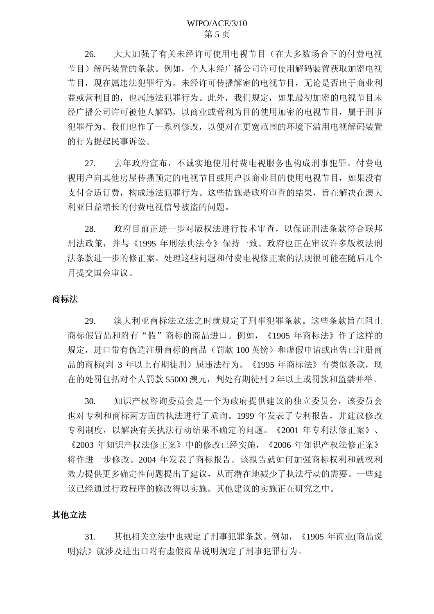26. 大大加强了有关未经许可使用电视节目(在大多数场合下的付费电视 节目)解码装置的条款。例如, 个人未经广播公司许可使用解码装置获取加密电视 节目, 现在属违法犯罪行为。未经许可传播解密的电视节目, 无论是否出于商业利 益或营利目的, 也属违法犯罪行为。此外, 我们规定, 如果最初加密的电视节目未 经广播公司许可被他人解码,以商业或营利为目的使用加密的电视节目,属于刑事 犯罪行为。我们也作了一系列修改,以便对在更宽范围的环境下滥用电视解码装置 的行为提起民事诉讼。

27. 去年政府宣布, 不诚实地使用付费电视服务也构成刑事犯罪。付费电 视用户向其他房屋传播预定的电视节目或用户以商业目的使用电视节目,如果没有 支付合适订费, 构成违法犯罪行为。这些措施是政府审查的结果, 旨在解决在澳大 利亚日益增长的付费电视信号被盗的问题。

28. 政府目前正进一步对版权法进行技术审查, 以保证刑法条款符合联邦 刑法政策, 并与《1995 年刑法典法令》保持一致。政府也正在审议许多版权法刑 法条款进一步的修正案。处理这些问题和付费电视修正案的法规很可能在随后几个 月提交国会审议。

## 商标法

29. 澳大利亚商标法立法之时就规定了刑事犯罪条款。这些条款旨在阻止 商标假冒品和附有"假"商标的商品进口。例如, 《1905 年商标法》作了这样的 规定, 讲口带有伪造注册商标的商品(罚款 100 英镑)和虚假申请或出售已注册商 品的商标(判 3 年以上有期徒刑) 属违法行为。《1995 年商标法》有类似条款, 现 在的处罚包括对个人罚款 55000 澳元, 判处有期徒刑 2 年以上或罚款和监禁并举。

30. 知识产权咨询委员会是一个为政府提供建议的独立委员会,该委员会 也对专利和商标两方面的执法进行了质询。1999 年发表了专利报告,并建议修改 专利制度, 以解决有关执法行动结果不确定的问题。《2001 年专利法修正案》、 《2003 年知识产权法修正案》中的修改已经实施, 《2006 年知识产权法修正案》 将作进一步修改。2004 年发表了商标报告。该报告就如何加强商标权利和就权利 效力提供更多确定性问题提出了建议,从而潜在地减少了执法行动的需要。一些建 议已经通过行政程序的修改得以实施。其他建议的实施正在研究之中。

# 其他立法

31. 其他相关立法中也规定了刑事犯罪条款。例如, 《1905 年商业(商品说 明)法》就涉及进出口附有虚假商品说明规定了刑事犯罪行为。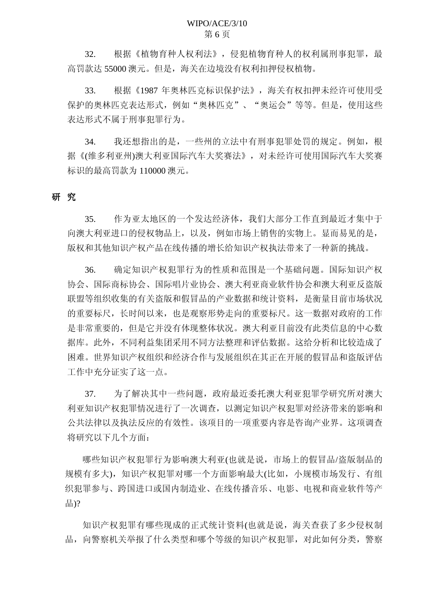32. 根据《植物育种人权利法》, 侵犯植物育种人的权利属刑事犯罪, 最 高罚款达 55000 澳元。但是, 海关在边境没有权利扣押侵权植物。

33. 根据《1987 年奥林匹克标识保护法》, 海关有权扣押未经许可使用受 保护的奥林匹克表达形式, 例如"奥林匹克"、"奥运会"等等。但是, 使用这些 表达形式不属于刑事犯罪行为。

34. 我还想指出的是,一些州的立法中有刑事犯罪处罚的规定。例如,根 据《(维多利亚州)澳大利亚国际汽车大奖赛法》, 对未经许可使用国际汽车大奖赛 标识的最高罚款为 110000 澳元。

#### 研 究

35. 作为亚太地区的一个发达经济体,我们大部分工作直到最近才集中于 向澳大利亚进口的侵权物品上,以及,例如市场上销售的实物上。显而易见的是, 版权和其他知识产权产品在线传播的增长给知识产权执法带来了一种新的挑战。

36. 确定知识产权犯罪行为的性质和范围是一个基础问题。国际知识产权 协会、国际唱片业协会、澳大利亚商业软件协会和澳大利亚反盗版 联盟等组织收集的有关盗版和假冒品的产业数据和统计资料,是衡量目前市场状况 的重要标尺, 长时间以来, 也是观察形势走向的重要标尺。这一数据对政府的工作 是非常重要的, 但是它并没有体现整体状况。澳大利亚目前没有此类信息的中心数 据库。此外,不同利益集团采用不同方法整理和评估数据。这给分析和比较造成了 困难。世界知识产权组织和经济合作与发展组织在其正在开展的假冒品和盗版评估 工作中充分证实了这一点。

37. 为了解决其中一些问题, 政府最近委托澳大利亚犯罪学研究所对澳大 利亚知识产权犯罪情况进行了一次调查,以测定知识产权犯罪对经济带来的影响和 公共法律以及执法反应的有效性。该项目的一项重要内容是咨询产业界。这项调查 将研究以下几个方面:

哪些知识产权犯罪行为影响澳大利亚(也就是说, 市场上的假冒品/盗版制品的 规模有多大),知识产权犯罪对哪一个方面影响最大(比如,小规模市场发行、有组 织犯罪参与、跨国进口或国内制造业、在线传播音乐、电影、电视和商业软件等产 品)?

知识产权犯罪有哪些现成的正式统计资料(也就是说, 海关查获了多少侵权制 品,向警察机关举报了什么类型和哪个等级的知识产权犯罪,对此如何分类,警察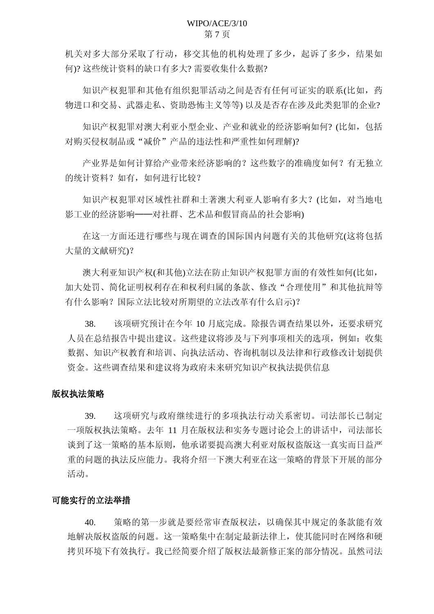机关对多大部分采取了行动, 移交其他的机构处理了多少, 起诉了多少, 结果如 何)? 这些统计资料的缺口有多大? 需要收集什么数据?

知识产权犯罪他有组织犯罪活动之间是否有任何可证实的联系(比如, 药 物进口和交易、武器走私、资助恐怖主义等等) 以及是否存在涉及此类犯罪的企业?

知识产权犯罪对澳大利亚小型企业、产业和就业的经济影响如何?(比如, 包括 对购买侵权制品或"减价"产品的违法性和严重性如何理解)?

产业界是如何计算给产业带来经济影响的? 这些数字的准确度如何? 有无独立 的统计资料? 如有, 如何讲行比较?

知识产权犯罪对区域性社群和土著澳大利亚人影响有多大?(比如,对当地电 影工业的经济影响——对社群、艺术品和假冒商品的社会影响)

在这一方面还进行哪些与现在调查的国际国内问题有关的其他研究(这将包括 大量的文献研究)?

澳大利亚知识产权(和其他)立法在防止知识产权犯罪方面的有效性如何(比如, 加大处罚、简化证明权利存在和权利归属的条款、修改"合理使用"和其他抗辩等 有什么影响?国际立法比较对所期望的立法改革有什么启示)?

38. 该项研究预计在今年 10 月底完成。除报告调查结果以外, 还要求研究 人员在总结报告中提出建议。这些建议将涉及与下列事项相关的选项, 例如: 收集 数据、知识产权教育和培训、向执法活动、咨询机制以及法律和行政修改计划提供 资金。这些调查结果和建议将为政府未来研究知识产权执法提供信息

# 版权执法策略

39. 这项研究与政府继续讲行的多项执法行动关系密切。司法部长已制定 一项版权执法策略。去年 11 月在版权法和实务专题讨论会上的讲话中,司法部长 谈到了这一策略的基本原则,他承诺要提高澳大利亚对版权盗版这一真实而日益严 重的问题的执法反应能力。我将介绍一下澳大利亚在这一策略的背景下开展的部分 活动。

#### 可能实行的立法举措

40. 策略的第一步就是要经常审查版权法, 以确保其中规定的条款能有效 地解决版权盗版的问题。这一策略集中在制定最新法律上, 使其能同时在网络和硬 拷贝环境下有效执行。我已经简要介绍了版权法最新修正案的部分情况。虽然司法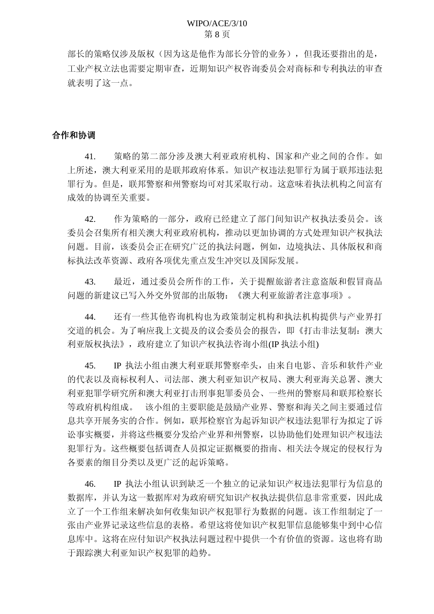# WIPO/ACE/3/10 第8页

部长的策略仅涉及版权(因为这是他作为部长分管的业务),但我还要指出的是, 工业产权立法也需要定期审查,近期知识产权咨询委员会对商标和专利执法的审查 就表明了这一点。

# 合作和协调

41. 策略的第二部分涉及澳大利亚政府机构、国家和产业之间的合作。如 上所述, 澳大利亚采用的是联邦政府体系。知识产权违法犯罪行为属于联邦违法犯 罪行为。但是, 联邦警察和州警察均可对其采取行动。这意味着执法机构之间富有 成效的协调至关重要。

42. 作为策略的一部分, 政府已经建立了部门间知识产权执法委员会。该 委员会召集所有相关澳大利亚政府机构, 推动以更加协调的方式处理知识产权执法 问题。目前,该委员会正在研究广泛的执法问题,例如,边境执法、具体版权和商 标执法改革资源、政府各项优先重点发生冲突以及国际发展。

43. 最近,通过委员会所作的工作,关于提醒旅游者注意盗版和假冒商品 问题的新建议已写入外交外贸部的出版物: 《澳大利亚旅游者注意事项》。

44. 还有一些其他咨询机构也为政策制定机构和执法机构提供与产业界打 交道的机会。为了响应我上文提及的议会委员会的报告,即《打击非法复制: 澳大 利亚版权执法》,政府建立了知识产权执法咨询小组(IP 执法小组)

45. IP 执法小组由澳大利亚联邦警察牵头, 由来自电影、音乐和软件产业 的代表以及商标权利人、司法部、澳大利亚知识产权局、澳大利亚海关总署、澳大 利亚犯罪学研究所和澳大利亚打击刑事犯罪委员会、一些州的警察局和联邦检察长 等政府机构组成。 该小组的主要职能是鼓励产业界、警察和海关之间主要通过信 息共享开展务实的合作。例如, 联邦检察官为起诉知识产权违法犯罪行为拟定了诉 讼事实概要,并将这些概要分发给产业界和州警察,以协助他们处理知识产权违法 犯罪行为。这些概要包括调查人员拟定证据概要的指南、相关法令规定的侵权行为 各要素的细目分类以及更广泛的起诉策略。

46. IP 执法小组认识到缺乏一个独立的记录知识产权违法犯罪行为信息的 数据库,并认为这一数据库对为政府研究知识产权执法提供信息非常重要,因此成 立了一个工作组来解决如何收集知识产权犯罪行为数据的问题。该工作组制定了一 张由产业界记录这些信息的表格。希望这将使知识产权犯罪信息能够集中到中心信 息库中。这将在应付知识产权执法问题过程中提供一个有价值的资源。这也将有助 于跟踪澳大利亚知识产权犯罪的趋势。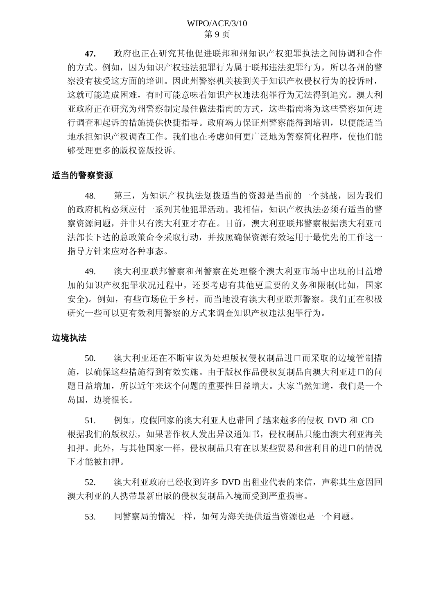# WIPO/ACE/3/10 第9页

47. 政府也正在研究其他促进联邦和州知识产权犯罪执法之间协调和合作 的方式。例如,因为知识产权违法犯罪行为属于联邦违法犯罪行为,所以各州的警 察没有接受这方面的培训。因此州警察机关接到关于知识产权侵权行为的投诉时, 这就可能造成困难, 有时可能意味着知识产权违法犯罪行为无法得到追究。澳大利 亚政府正在研究为州警察制定最佳做法指南的方式, 这些指南将为这些警察如何进 行调杳和起诉的措施提供快捷指导。政府竭力保证州警察能得到培训,以便能适当 地承担知识产权调查工作。我们也在考虑如何更广泛地为警察简化程序, 使他们能 够受理更多的版权盗版投诉。

# 适当的警察资源

48. 第三,为知识产权执法划拨适当的资源是当前的一个挑战,因为我们 的政府机构必须应付一系列其他犯罪活动。我相信, 知识产权执法必须有适当的警 察资源问题,并非只有澳大利亚才存在。目前,澳大利亚联邦警察根据澳大利亚司 法部长下达的总政策命令采取行动,并按照确保资源有效运用于最优先的工作这一 指导方针来应对各种事态。

49. 澳大利亚联邦警察和州警察在处理整个澳大利亚市场中出现的日益增 加的知识产权犯罪状况过程中,还要考虑有其他更重要的义务和限制(比如,国家 安全)。例如,有些市场位于乡村,而当地没有澳大利亚联邦警察。我们正在积极 研究一些可以更有效利用警察的方式来调查知识产权违法犯罪行为。

# 边境执法

50. 澳大利亚还在不断审议为处理版权侵权制品进口而采取的边境管制措 施, 以确保这些措施得到有效实施。由于版权作品侵权复制品向澳大利亚进口的问 题日益增加, 所以近年来这个问题的重要性日益增大。大家当然知道, 我们是一个 岛国, 边境很长。

51. 例如, 度假回家的澳大利亚人也带回了越来越多的侵权 DVD 和 CD 根据我们的版权法, 如果著作权人发出异议通知书, 侵权制品只能由澳大利亚海关 扣押。此外, 与其他国家一样, 侵权制品只有在以某些贸易和营利目的进口的情况 下才能被扣押。

52. 澳大利亚政府已经收到许多 DVD 出租业代表的来信, 声称其生意因回 澳大利亚的人携带最新出版的侵权复制品入境而受到严重损害。

53. 同警察局的情况一样,如何为海关提供话当资源也是一个问题。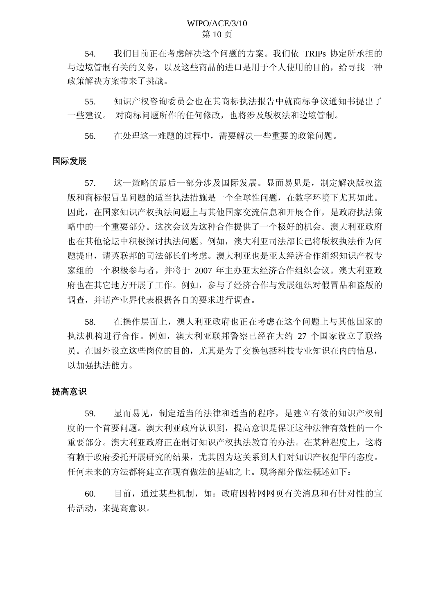# WIPO/ACE/3/10 第10页

54. 我们目前正在考虑解决这个问题的方案。我们依 TRIPs 协定所承担的 与边境管制有关的义务, 以及这些商品的进口是用于个人使用的目的, 给寻找一种 政策解决方案带来了挑战。

55. 知识产权咨询委员会也在其商标执法报告中就商标争议通知书提出了 一些建议。 对商标问题所作的任何修改, 也将涉及版权法和边境管制。

56. 在处理这一难题的过程中,需要解决一些重要的政策问题。

#### 国际发展

57. 这一策略的最后一部分涉及国际发展。显而易见是, 制定解决版权盗 版和商标假冒品问题的适当执法措施是一个全球性问题, 在数字环境下尤其如此。 因此, 在国家知识产权执法问题上与其他国家交流信息和开展合作, 是政府执法策 略中的一个重要部分。这次会议为这种合作提供了一个极好的机会。澳大利亚政府 也在其他论坛中积极探讨执法问题。例如, 澳大利亚司法部长已将版权执法作为问 题提出,请英联邦的司法部长们考虑。澳大利亚也是亚太经济合作组织知识产权专 家组的一个积极参与者,并将于 2007 年主办亚太经济合作组织会议。澳大利亚政 府也在其它地方开展了工作。例如,参与了经济合作与发展组织对假冒品和盗版的 调杳,并请产业界代表根据各自的要求讲行调杳。

58. 在操作层面上, 澳大利亚政府也正在考虑在这个问题上与其他国家的 执法机构进行合作。例如, 澳大利亚联邦警察已经在大约 27 个国家设立了联络 员。在国外设立这些岗位的目的,尤其是为了交换包括科技专业知识在内的信息, 以加强执法能力。

#### 提高意识

59. 显而易见,制定适当的法律和适当的程序,是建立有效的知识产权制 度的一个首要问题。澳大利亚政府认识到,提高意识是保证这种法律有效性的一个 重要部分。澳大利亚政府正在制订知识产权执法教育的办法。在某种程度上,这将 有赖于政府委托开展研究的结果,尤其因为这关系到人们对知识产权犯罪的态度。 任何未来的方法都将建立在现有做法的基础之上。现将部分做法概述如下:

60. 目前, 通过某些机制, 如: 政府因特网网页有关消息和有针对性的宣 传活动,来提高意识。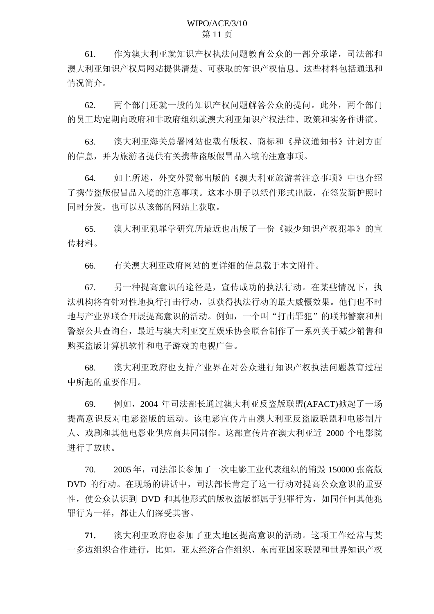# WIPO/ACE/3/10 第11页

61. 作为澳大利亚就知识产权执法问题教育公众的一部分承诺,司法部和 澳大利亚知识产权局网站提供清楚、可获取的知识产权信息。这些材料包括通迅和 情况简介。

62. 两个部门还就一般的知识产权问题解答公众的提问。此外,两个部门 的员工均定期向政府和非政府组织就澳大利亚知识产权法律、政策和实务作讲演。

 $63.$  澳大利亚海关总署网站也载有版权、商标和《异议通知书》计划方面 的信息,并为旅游者提供有关携带盗版假冒品入境的注意事项。

64. 如上所述, 外交外留部出版的《澳大利亚旅游者注意事项》中也介绍 了携带盗版假冒品入境的注意事项。这本小册子以纸件形式出版, 在签发新护照时 同时分发, 也可以从该部的网站上获取。

65. 澳大利亚犯罪学研究所最近也出版了一份《减少知识产权犯罪》的宣 传材料。

66. 有关澳大利亚政府网站的更详细的信息载于本文附件。

67. 另一种提高意识的途径是, 宣传成功的执法行动。在某些情况下, 执 法机构将有针对性地执行打击行动, 以获得执法行动的最大威慑效果。他们也不时 地与产业界联合开展提高意识的活动。例如, 一个叫"打击罪犯"的联邦警察和州 警察公共查询台, 最近与澳大利亚交互娱乐协会联合制作了一系列关于减少销售和 购买盗版计算机软件和电子游戏的电视广告。

68. 澳大利亚政府也支持产业界在对公众进行知识产权执法问题教育过程 中所起的重要作用。

69. 例如, 2004 年司法部长通过澳大利亚反盗版联盟(AFACT)掀起了一场 提高意识反对电影盗版的运动。该电影宣传片由澳大利亚反盗版联盟和电影制片 人、戏剧和其他电影业供应商共同制作。这部宣传片在澳大利亚近 2000 个电影院 进行了放映。

70. 2005年, 司法部长参加了一次电影工业代表组织的销毁 150000 张盗版 DVD 的行动。在现场的讲话中, 司法部长肯定了这一行动对提高公众意识的重要 性, 使公众认识到 DVD 和其他形式的版权盗版都属于犯罪行为, 如同任何其他犯 罪行为一样,都让人们深受其害。

71. 澳大利亚政府也参加了亚太地区提高意识的活动。这项工作经常与某 一多边组织合作进行, 比如, 亚太经济合作组织、东南亚国家联盟和世界知识产权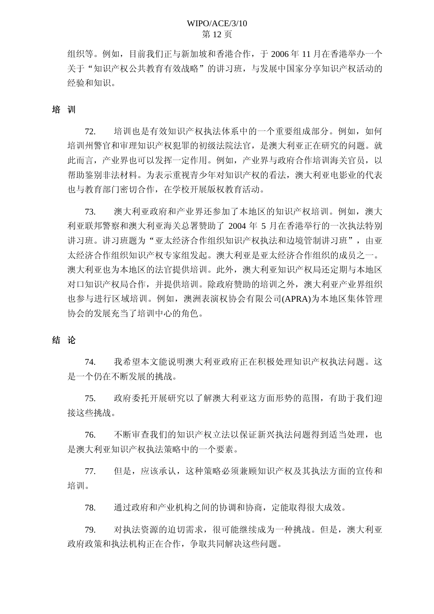组织等。例如,目前我们正与新加坡和香港合作,于 2006年 11 月在香港举办一个 关于"知识产权公共教育有效战略"的讲习班,与发展中国家分享知识产权活动的 经验和知识。

培训

72. 培训也是有效知识产权执法体系中的一个重要组成部分。例如, 如何 培训州警官和审理知识产权犯罪的初级法院法官, 是澳大利亚正在研究的问题。就 此而言, 产业界也可以发挥一定作用。例如, 产业界与政府合作培训海关官员, 以 帮助鉴别非法材料。为表示重视青少年对知识产权的看法, 澳大利亚电影业的代表 也与教育部门密切合作, 在学校开展版权教育活动。

73. 澳大利亚政府和产业界还参加了本地区的知识产权培训。例如,澳大 利亚联邦警察和澳大利亚海关总署赞助了 2004 年 5 月在香港举行的一次执法特别 讲习班。讲习班题为"亚太经济合作组织知识产权执法和边境管制讲习班",由亚 太经济合作组织知识产权专家组发起。澳大利亚是亚太经济合作组织的成员之一。 澳大利亚也为本地区的法官提供培训。此外,澳大利亚知识产权局还定期与本地区 对口知识产权局合作,并提供培训。除政府赞助的培训之外,澳大利亚产业界组织 也参与进行区域培训。例如,澳洲表演权协会有限公司(APRA)为本地区集体管理 协会的发展充当了培训中心的角色。

#### 结 论

74. 我希望本文能说明澳大利亚政府正在积极处理知识产权执法问题。这 是一个仍在不断发展的挑战。

75. 政府委托开展研究以了解澳大利亚这方面形势的范围,有助于我们迎 接这些挑战。

76. 不断审查我们的知识产权立法以保证新兴执法问题得到适当处理, 也 是澳大利亚知识产权执法策略中的一个要素。

77. 佢是, 应该承认, 这种策略必须兼顾知识产权及其执法方面的宣传和 培训。

78. 通过政府和产业机构之间的协调和协商, 定能取得很大成效。

79. 对执法资源的迫切需求,很可能继续成为一种挑战。但是,澳大利亚 政府政策和执法机构正在合作, 争取共同解决这些问题。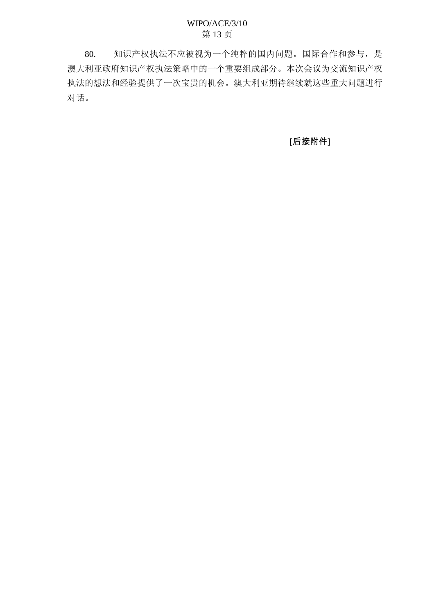# WIPO/ACE/3/10 第13页

80. 知识产权执法不应被视为一个纯粹的国内问题。国际合作和参与, 是 澳大利亚政府知识产权执法策略中的一个重要组成部分。本次会议为交流知识产权 执法的想法和经验提供了一次宝贵的机会。澳大利亚期待继续就这些重大问题进行 对话。

[后接附件]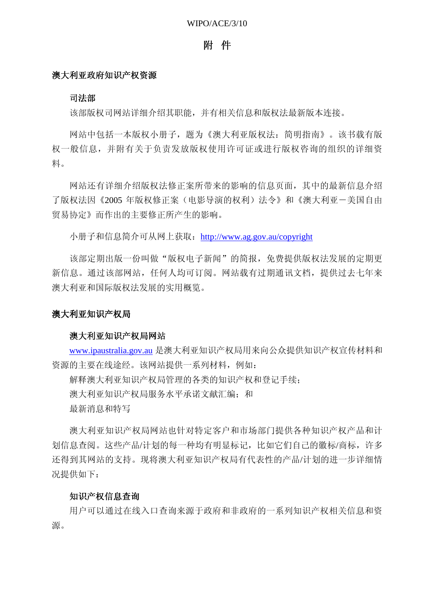# 附 件

#### 澳大利亚政府知识产权资源

#### 司法部

该部版权司网站详细介绍其职能,并有相关信息和版权法最新版本连接。

网站中包括一本版权小册子, 题为《澳大利亚版权法: 简明指南》。该书载有版 权一般信息,并附有关于负责发放版权使用许可证或进行版权咨询的组织的详细资 料。

网站还有详细介绍版权法修正案所带来的影响的信息页面, 其中的最新信息介绍 了版权法因《2005 年版权修正案(电影导演的权利)法令》和《澳大利亚一美国自由 贸易协定》而作出的主要修正所产生的影响。

小册子和信息简介可从网上获取: <http://www.ag.gov.au/copyright>

该部定期出版一份叫做"版权电子新闻"的简报, 免费提供版权法发展的定期更 新信息。通过该部网站, 任何人均可订阅。网站载有过期通讯文档, 提供过去七年来 澳大利亚和国际版权法发展的实用概览。

#### 澳大利亚知识产权局

#### 澳大利亚知识产权局网站

[www.ipaustralia.gov.au](http://www.ipaustralia.gov.au/) 是澳大利亚知识产权局用来向公众提供知识产权宣传材料和 咨源的主要在线途经。该网站提供一系列材料, 例如:

解释澳大利亚知识产权局管理的各类的知识产权和登记手续:

澳大利亚知识产权局服务水平承诺文献汇编; 和

最新消息和特写

澳大利亚知识产权局网站也针对特定客户和市场部门提供各种知识产权产品和计 划信息杳阅。这些产品/计划的每一种均有明显标记,比如它们自己的徽标/商标,许多 还得到其网站的支持。现将澳大利亚知识产权局有代表性的产品/计划的进一步详细情 况提供如下:

#### 知识产权信息查询

用户可以通过在线入口杳询来源于政府和非政府的一系列知识产权相关信息和资 源。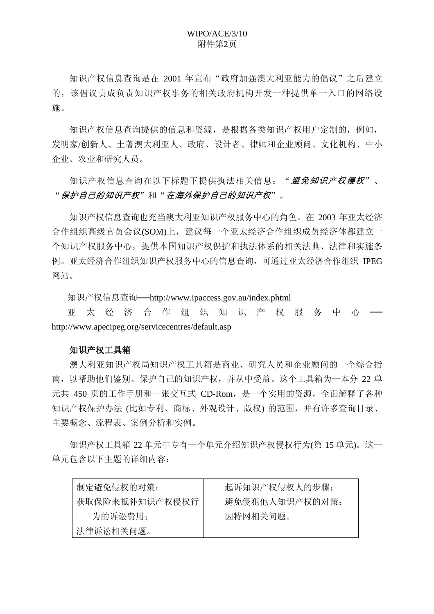知识产权信息查询是在 2001 年宣布"政府加强澳大利亚能力的倡议"之后建立 的,该倡议责成负责知识产权事务的相关政府机构开发一种提供单一入口的网络设 施。

知识产权信息查询提供的信息和资源,是根据各类知识产权用户定制的,例如, 发明家/创新人、土著澳大利亚人、政府、设计者、律师和企业顾问、文化机构、中小 企业、农业和研究人员。

知识产权信息杳询在以下标题下提供执法相关信息: "*避免知识产权侵权*"、 "*保护自己的知识产权*"和"*在海外保护自己的知识产权*"。

知识产权信息查询也充当澳大利亚知识产权服务中心的角色。在 2003 年亚太经济 合作组织高级官员会议(SOM)上, 建议每一个亚太经济合作组织成员经济体都建立一 个知识产权服务中心, 提供本国知识产权保护和执法体系的相关法典、法律和实施条 例。亚太经济合作组织知识产权服务中心的信息杳询,可通过亚太经济合作组织 IPEG 网站。

知识产权信息查询—<http://www.ipaccess.gov.au/index.phtml>

亚太经济合作组织知识产权服务中心http://www.apecipeg.org/servicecentres/default.asp

#### 知识产权工具箱

澳大利亚知识产权屈具箱是商业、研究人员和企业顾问的一个综合指 南, 以帮助他们鉴别、保护自己的知识产权, 并从中受益。这个工具箱为一本分 22 单 元共 450 页的工作手册和一张交互式 CD-Rom, 是一个实用的资源, 全面解释了各种 知识产权保护办法(比如专利、商标、外观设计、版权) 的范围, 并有许多查询目录、 主要概念、流程表、案例分析和实例。

知识产权工具箱 22 单元中专有一个单元介绍知识产权侵权行为(第15 单元)。这一 单元包含以下主题的详细内容:

| 制定避免侵权的对策:     | 起诉知识产权侵权人的步骤:  |
|----------------|----------------|
| 获取保险来抵补知识产权侵权行 | 避免侵犯他人知识产权的对策: |
| 为的诉讼费用:        | 因特网相关问题。       |
| 法律诉讼相关问题。      |                |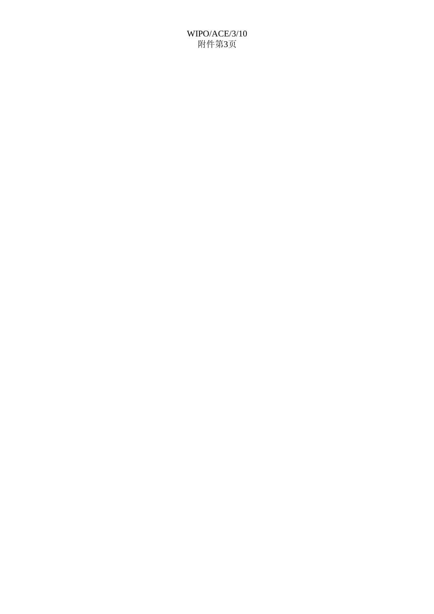WIPO/ACE/3/10 附件第3页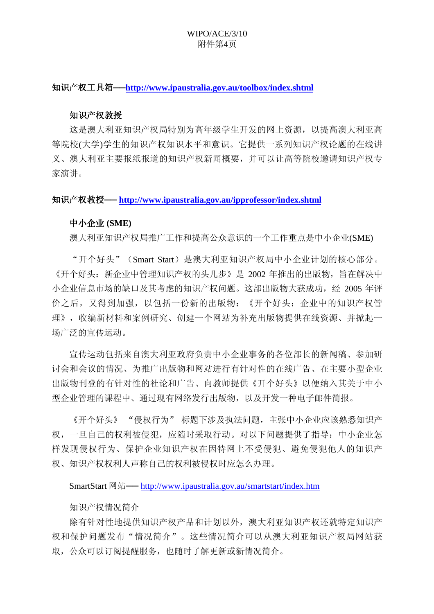## 知识产权工具箱—<http://www.ipaustralia.gov.au/toolbox/index.shtml>

#### 知识产权教授

这是澳大利亚知识产权局特别为高年级学生开发的网上资源,以提高澳大利亚高 等院校(大学)学生的知识产权知识水平和意识。它提供一系列知识产权论题的在线讲 义、澳大利亚主要报纸报道的知识产权新闻概要,并可以让高等院校邀请知识产权专 家演讲。

#### 知识产权教授— <http://www.ipaustralia.gov.au/ipprofessor/index.shtml>

## 中小企业 (SME)

澳大利亚知识产权局推广工作和提高公众意识的一个工作重点是中小企业(SME)

"开个好头"(Smart Start)是澳大利亚知识产权局中小企业计划的核心部分。 《开个好头: 新企业中管理知识产权的头几步》是 2002 年推出的出版物, 旨在解决中 小企业信息市场的缺口及其考虑的知识产权问题。这部出版物大获成功, 经 2005 年评 价之后, 又得到加强, 以包括一份新的出版物: 《开个好头: 企业中的知识产权管 理》,收编新材料和案例研究、创建一个网站为补充出版物提供在线资源、并掀起一 场广泛的宣传运动。

宣传运动包括来自澳大利亚政府负责中小企业事务的各位部长的新闻稿、参加研 讨会和会议的情况、为推广出版物和网站进行有针对性的在线广告、在主要小型企业 出版物刊登的有针对性的社论和广告、向教师提供《开个好头》以便纳入其关于中小 型企业管理的课程中、通过现有网络发行出版物,以及开发一种电子邮件简报。

《开个好头》"侵权行为"标题下涉及执法问题, 主张中小企业应该熟悉知识产 权,一旦自己的权利被侵犯,应随时采取行动。对以下问题提供了指导:中小企业怎 样发现侵权行为、保护企业知识产权在因特网上不受侵犯、避免侵犯他人的知识产 权、知识产权权利人声称自己的权利被侵权时应怎么办理。

SmartStart 网站—— <http://www.ipaustralia.gov.au/smartstart/index.htm>

知识产权情况简介

除有针对性地提供知识产权产品和计划以外, 澳大利亚知识产权还就特定知识产 权和保护问题发布"情况简介"。这些情况简介可以从澳大利亚知识产权局网站获 取, 公众可以订阅提醒服务, 也随时了解更新或新情况简介。